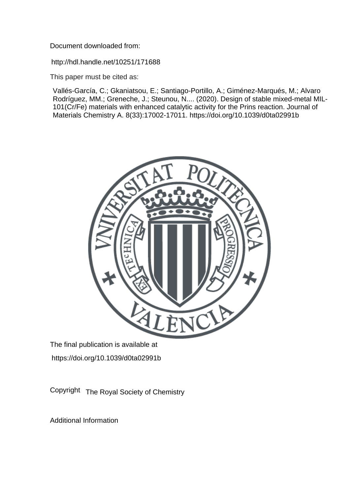Document downloaded from:

http://hdl.handle.net/10251/171688

This paper must be cited as:

Vallés-García, C.; Gkaniatsou, E.; Santiago-Portillo, A.; Giménez-Marqués, M.; Alvaro Rodríguez, MM.; Greneche, J.; Steunou, N.... (2020). Design of stable mixed-metal MIL-101(Cr/Fe) materials with enhanced catalytic activity for the Prins reaction. Journal of Materials Chemistry A. 8(33):17002-17011. https://doi.org/10.1039/d0ta02991b



The final publication is available at https://doi.org/10.1039/d0ta02991b

Copyright The Royal Society of Chemistry

Additional Information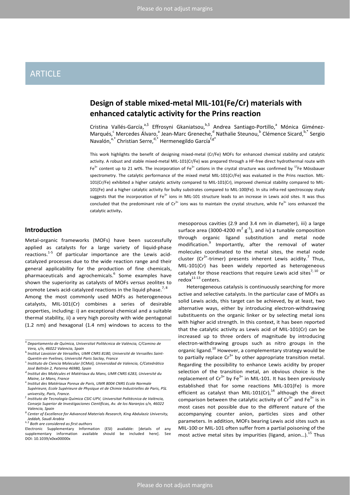# ARTICLE

# **Design of stable mixed-metal MIL-101(Fe/Cr) materials with enhanced catalytic activity for the Prins reaction**

Cristina Vallés-García,<sup>a,\$</sup> Effrosyni Gkaniatsou,<sup>b,\$</sup> Andrea Santiago-Portillo,<sup>a</sup> Mónica Giménez-Marqués,<sup>c</sup> Mercedes Álvaro,<sup>a</sup> Jean-Marc Greneche,<sup>d</sup> Nathalie Steunou,<sup>b</sup> Clémence Sicard, <sup>b,\*</sup> Sergio Navalón,<sup>a,\*</sup> Christian Serre,<sup>d,\*</sup> Hermenegildo García<sup>f,g\*</sup>

This work highlights the benefit of designing mixed-metal (Cr/Fe) MOFs for enhanced chemical stability and catalytic activity. A robust and stable mixed-metal MIL-101(Cr/Fe) was prepared through a HF-free direct hydrothermal route with Fe<sup>3+</sup> content up to 21 wt%. The incorporation of Fe<sup>3+</sup> cations in the crystal structure was confirmed by  $57F$ e Mössbauer spectrometry. The catalytic performance of the mixed metal MIL-101(Cr/Fe) was evaluated in the Prins reaction. MIL-101(Cr/Fe) exhibited a higher catalytic activity compared to MIL-101(Cr), improved chemical stability compared to MIL-101(Fe) and a higher catalytic activity for bulky substrates compared to MIL-100(Fe). In situ infra-red spectroscopy study suggests that the incorporation of Fe<sup>3+</sup> ions in MIL-101 structure leads to an increase in Lewis acid sites. It was thus concluded that the predominant role of  $Cr^{3+}$  ions was to maintain the crystal structure, while Fe $3+$  ions enhanced the catalytic activity.

# **Introduction**

Metal-organic frameworks (MOFs) have been successfully applied as catalysts for a large variety of liquid-phase reactions.1-5 Of particular importance are the Lewis acidcatalyzed processes due to the wide reaction range and their general applicability for the production of fine chemicals, pharmaceuticals and agrochemicals.<sup>6</sup> Some examples have shown the superiority as catalysts of MOFs *versus* zeolites to promote Lewis acid-catalyzed reactions in the liquid phase.<sup>7, 8</sup>

Among the most commonly used MOFs as heterogeneous catalysts, MIL-101(Cr) combines a series of desirable properties, including: i) an exceptional chemical and a suitable thermal stability, ii) a very high porosity with wide pentagonal (1.2 nm) and hexagonal (1.4 nm) windows to access to the

*g.Center of Excellence for Advanced Materials Research, King Abdulaziz University, Jeddah, Saudi Arabia*

mesoporous cavities (2.9 and 3.4 nm in diameter), iii) a large surface area (3000-4200  $m^2 g^{-1}$ ), and iv) a tunable composition through organic ligand substitution and metal node modification.<sup>9</sup> Importantly, after the removal of water molecules coordinated to the metal sites, the metal node cluster ( $Cr^{3+}$ -trimer) presents inherent Lewis acidity.<sup>7</sup> Thus, MIL-101(Cr) has been widely reported as heterogeneous catalyst for those reactions that require Lewis acid sites $^{7, 10}$  or  $redox<sup>11-13</sup>$  centers.

Heterogeneous catalysis is continuously searching for more active and selective catalysts. In the particular case of MOFs as solid Lewis acids, this target can be achieved, by at least, two alternative ways, either by introducing electron-withdrawing substituents on the organic linker or by selecting metal ions with higher acid strength. In this context, it has been reported that the catalytic activity as Lewis acid of MIL-101(Cr) can be increased up to three orders of magnitude by introducing electron-withdrawing groups such as nitro groups in the organic ligand.<sup>10</sup> However, a complementary strategy would be to partially replace  $Cr^{3+}$  by other appropriate transition metal. Regarding the possibility to enhance Lewis acidity by proper selection of the transition metal, an obvious choice is the replacement of  $Cr^{3+}$  by Fe<sup>3+</sup> in MIL-101. It has been previously established that for some reactions MIL-101(Fe) is more efficient as catalyst than MIL-101(Cr), $^{14}$  although the direct comparison between the catalytic activity of  $Cr^{3+}$  and Fe $^{3+}$  is in most cases not possible due to the different nature of the accompanying counter anion, particles sizes and other parameters. In addition, MOFs bearing Lewis acid sites such as MIL-100 or MIL-101 often suffer from a partial poisoning of the most active metal sites by impurities (ligand, anion...).<sup>15</sup> Thus

*a.Departamento de Química, Universitat Politècnica de València, C/Camino de Vera, s/n, 46022 Valencia, Spain*

*b.Institut Lavoisier de Versailles, UMR CNRS 8180, Université de Versailles Saint-*

*Quentin-en-Yvelines, Université Paris Saclay, France c. Instituto de Ciencia Molecular (ICMol), Universidad de Valencia, C/Catedrático José Beltrán 2, Paterna 46980, Spain*

*d.Institut des Molécules et Matériaux du Mans, UMR CNRS 6283, Université du Maine, Le Mans, France e. Institut des Matériaux Poreux de Paris, UMR 8004 CNRS Ecole Normale* 

*Supérieure, Ecole Supérieure de Physique et de Chimie Industrielles de Paris, PSL university, Paris, France.*

*f. Instituto de Tecnología Química CSIC-UPV, Universitat Politècnica de València, Consejo Superior de Investigaciones Científicas, Av. de los Naranjos s/n, 46022 Valencia, Spain*

*h.\$ Both are considered as first authors*

Electronic Supplementary Information (ESI) available: [details of any supplementary information available should be included here]. See DOI: 10.1039/x0xx00000x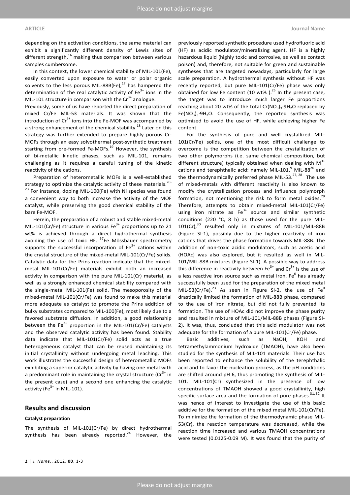depending on the activation conditions, the same material can exhibit a significantly different density of Lewis sites of different strength, $16$  making thus comparison between various samples cumbersome.

In this context, the lower chemical stability of MIL-101(Fe), easily converted upon exposure to water or polar organic solvents to the less porous MIL-88B(Fe), $^{17}$  has hampered the determination of the real catalytic activity of  $Fe<sup>3+</sup>$  ions in the MIL-101 structure in comparison with the  $Cr^{3+}$  analogue.

Previously, some of us have reported the direct preparation of mixed Cr/Fe MIL-53 materials. It was shown that the introduction of  $Cr^{3+}$  ions into the Fe-MOF was accompanied by a strong enhancement of the chemical stability.<sup>18</sup> Later on this strategy was further extended to prepare highly porous Cr-MOFs through an easy solvothermal post-synthetic treatment starting from pre-formed Fe-MOFs.<sup>19</sup> However, the synthesis of bi-metallic kinetic phases, such as MIL-101, remains challenging as it requires a careful tuning of the kinetic reactivity of the cations.

Preparation of heterometallic MOFs is a well-established strategy to optimize the catalytic activity of these materials.<sup>20-</sup>  $23$  For instance, doping MIL-100(Fe) with Ni species was found a convenient way to both increase the activity of the MOF catalyst, while preserving the good chemical stability of the bare Fe-MOF.

Herein, the preparation of a robust and stable mixed-metal MIL-101(Cr/Fe) structure in various  $Fe<sup>3+</sup>$  proportions up to 21 wt% is achieved through a direct hydrothermal synthesis avoiding the use of toxic HF. <sup>57</sup>Fe Mössbauer spectrometry supports the successful incorporation of  $Fe<sup>3+</sup>$  cations within the crystal structure of the mixed-metal MIL-101(Cr/Fe) solids. Catalytic data for the Prins reaction indicate that the mixedmetal MIL-101(Cr/Fe) materials exhibit both an increased activity in comparison with the pure MIL-101(Cr) material, as well as a strongly enhanced chemical stability compared with the single-metal MIL-101(Fe) solid. The mesoporosity of the mixed-metal MIL-101(Cr/Fe) was found to make this material more adequate as catalyst to promote the Prins addition of bulky substrates compared to MIL-100(Fe), most likely due to a favored substrate diffusion. In addition, a good relationship between the  $Fe<sup>3+</sup>$  proportion in the MIL-101(Cr/Fe) catalysts and the observed catalytic activity has been found. Stability data indicate that MIL-101(Cr/Fe) solid acts as a true heterogeneous catalyst that can be reused maintaining its initial crystallinity without undergoing metal leaching. This work illustrates the successful design of heterometallic MOFs exhibiting a superior catalytic activity by having one metal with a predominant role in maintaining the crystal structure  $(Cr^{3+})$  in the present case) and a second one enhancing the catalytic activity (Fe $^{3+}$  in MIL-101).

# **Results and discussion**

#### **Catalyst preparation**

The synthesis of MIL-101(Cr/Fe) by direct hydrothermal synthesis has been already reported. $24$  However, the

previously reported synthetic procedure used hydrofluoric acid (HF) as acidic modulator/mineralizing agent. HF is a highly hazardous liquid (highly toxic and corrosive, as well as contact poison) and, therefore, not suitable for green and sustainable syntheses that are targeted nowadays, particularly for large scale preparation. A hydrothermal synthesis without HF was recently reported, but pure MIL-101(Cr/Fe) phase was only obtained for low Fe content (10 wt%).<sup>25</sup> In the present case, the target was to introduce much larger Fe proportions reaching about 20 wt% of the total Cr(NO3)3⋅9H<sub>2</sub>O replaced by Fe(NO3)3∙9H2O. Consequently, the reported synthesis was optimized to avoid the use of HF, while achieving higher Fe content.

For the synthesis of pure and well crystallized MIL-101(Cr/Fe) solids, one of the most difficult challenge to overcome is the competition between the crystallization of two other polymorphs (i.e. same chemical composition, but different structure) typically obtained when dealing with  $M^{3+}$ cations and terephthalic acid: namely MIL-101, $9$  MIL-88<sup>26</sup> and the thermodynamically preferred phase MIL-53. $^{27, 28}$  The use of mixed-metals with different reactivity is also known to modify the crystallization process and influence polymorph formation, not mentioning the risk to form metal oxides.<sup>29</sup> Therefore, attempts to obtain mixed-metal MIL-101(Cr/Fe) using iron nitrate as  $Fe<sup>3+</sup>$  source and similar synthetic conditions (220 °C, 8 h) as those used for the pure MIL- $101(Cr)$ ,<sup>30</sup> resulted only in mixtures of MIL-101/MIL-88B (Figure SI-1), possibly due to the higher reactivity of iron cations that drives the phase formation towards MIL-88B. The addition of non-toxic acidic modulators, such as acetic acid (HOAc) was also explored, but it resulted as well in MIL-101/MIL-88B mixtures (Figure SI-1). A possible way to address this difference in reactivity between  $Fe^{3+}$  and  $Cr^{3+}$  is the use of a less reactive iron source such as metal iron.  $Fe<sup>0</sup>$  has already successfully been used for the preparation of the mixed metal MIL-53(Cr/Fe). $^{23}$  As seen in Figure SI-2, the use of Fe<sup>0</sup> drastically limited the formation of MIL-88B phase, compared to the use of iron nitrate, but did not fully prevented its formation. The use of HOAc did not improve the phase purity and resulted in mixture of MIL-101/MIL-88B phases (Figure SI-2). It was, thus, concluded that this acid modulator was not adequate for the formation of a pure MIL-101(Cr/Fe) phase.

Basic additives, such as NaOH, KOH and tetramethylammonium hydroxide (TMAOH), have also been studied for the synthesis of MIL-101 materials. Their use has been reported to enhance the solubility of the terephthalic acid and to favor the nucleation process, as the pH conditions are shifted around pH 6, thus promoting the synthesis of MIL-101. MIL-101(Cr) synthesized in the presence of low concentrations of TMAOH showed a good crystallinity, high specific surface area and the formation of pure phases. $31,32$  It was hence of interest to investigate the use of this basic additive for the formation of the mixed metal MIL-101(Cr/Fe). To minimize the formation of the thermodynamic phase MIL-53(Cr), the reaction temperature was decreased, while the reaction time increased and various TMAOH concentrations were tested (0.0125-0.09 M). It was found that the purity of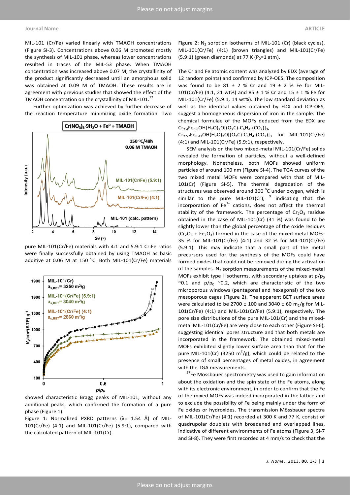MIL-101 (Cr/Fe) varied linearly with TMAOH concentrations (Figure SI-3). Concentrations above 0.06 M promoted mostly the synthesis of MIL-101 phase, whereas lower concentrations resulted in traces of the MIL-53 phase. When TMAOH concentration was increased above 0.07 M, the crystallinity of the product significantly decreased until an amorphous solid was obtained at 0.09 M of TMAOH. These results are in agreement with previous studies that showed the effect of the TMAOH concentration on the crystallinity of MIL-101.<sup>32</sup>

Further optimization was achieved by further decrease of the reaction temperature minimizing oxide formation. Two



pure MIL-101(Cr/Fe) materials with 4:1 and 5.9:1 Cr:Fe ratios were finally successfully obtained by using TMAOH as basic additive at 0.06 M at 150  $^{\circ}$ C. Both MIL-101(Cr/Fe) materials



showed characteristic Bragg peaks of MIL-101, without any additional peaks, which confirmed the formation of a pure phase (Figure 1).

Figure 1: Normalized PXRD patterns  $(\lambda = 1.54 \text{ Å})$  of MIL-101(Cr/Fe) (4:1) and MIL-101(Cr/Fe) (5.9:1), compared with the calculated pattern of MIL-101(Cr).

Figure 2:  $N_2$  sorption isotherms of MIL-101 (Cr) (black cycles), MIL-101(Cr/Fe) (4:1) (brown triangles) and MIL-101(Cr/Fe) (5.9:1) (green diamonds) at 77 K ( $P_0$ =1 atm).

The Cr and Fe atomic content was analyzed by EDX (average of 12 random points) and confirmed by ICP-OES. The composition was found to be 81  $\pm$  2 % Cr and 19  $\pm$  2 % Fe for MIL-101(Cr/Fe) (4:1, 21 wt%) and 85 ± 1 % Cr and 15 ± 1 % Fe for MIL-101(Cr/Fe) (5.9:1, 14 wt%). The low standard deviation as well as the identical values obtained by EDX and ICP-OES, suggest a homogeneous dispersion of iron in the sample. The chemical formulae of the MOFs deduced from the EDX are  $Cr_{2.4}Fe_{0.6}OH(H_2O)_2O[(O_2C)-C_6H_4-(CO_2)]_3$ 

 $Cr_{2.57}Fe_{0.43}OH(H_2O)_2O[(O_2C)-C_6H_4-(CO_2)]_3$  for MIL-101(Cr/Fe) (4:1) and MIL-101(Cr/Fe) (5.9:1), respectively.

SEM analysis on the two mixed-metal MIL-101(Cr/Fe) solids revealed the formation of particles, without a well-defined morphology. Nonetheless, both MOFs showed uniform particles of around 100 nm (Figure SI-4). The TGA curves of the two mixed metal MOFs were compared with that of MIL-101(Cr) (Figure SI-5). The thermal degradation of the structures was observed around 300 $\,^{\circ}$ C under oxygen, which is similar to the pure MIL-101(Cr),  $9$  indicating that the incorporation of  $Fe<sup>3+</sup>$  cations, does not affect the thermal stability of the framework. The percentage of  $Cr<sub>2</sub>O<sub>3</sub>$  residue obtained in the case of MIL-101(Cr) (31 %) was found to be slightly lower than the global percentage of the oxide residues  $(Cr<sub>2</sub>O<sub>3</sub> + Fe<sub>2</sub>O<sub>3</sub>)$  formed in the case of the mixed-metal MOFs: 35 % for MIL-101(Cr/Fe) (4:1) and 32 % for MIL-101(Cr/Fe) (5.9:1). This may indicate that a small part of the metal precursors used for the synthesis of the MOFs could have formed oxides that could not be removed during the activation of the samples. N<sub>2</sub> sorption measurements of the mixed-metal MOFs exhibit type I isotherms, with secondary uptakes at  $p/p_0$ ~0.1 and  $p/p_0 \sim 0.2$ , which are characteristic of the two microporous windows (pentagonal and hexagonal) of the two mesoporous cages (Figure 2). The apparent BET surface areas were calculated to be 2700  $\pm$  100 and 3040  $\pm$  60 m<sub>2</sub>/g for MIL-101(Cr/Fe) (4:1) and MIL-101(Cr/Fe) (5.9:1), respectively. The pore size distributions of the pure MIL-101(Cr) and the mixedmetal MIL-101(Cr/Fe) are very close to each other (Figure SI-6), suggesting identical pores structure and that both metals are incorporated in the framework. The obtained mixed-metal MOFs exhibited slightly lower surface area than that for the pure MIL-101(Cr) (3250  $m^2/g$ ), which could be related to the presence of small percentages of metal oxides, in agreement with the TGA measurements.

<sup>57</sup>Fe Mössbauer spectrometry was used to gain information about the oxidation and the spin state of the Fe atoms, along with its electronic environment, in order to confirm that the Fe of the mixed MOFs was indeed incorporated in the lattice and to exclude the possibility of Fe being mainly under the form of Fe oxides or hydroxides. The transmission Mössbauer spectra of MIL-101(Cr/Fe) (4:1) recorded at 300 K and 77 K, consist of quadrupolar doublets with broadened and overlapped lines, indicative of different environments of Fe atoms (Figure 3, SI-7 and SI-8). They were first recorded at 4 mm/s to check that the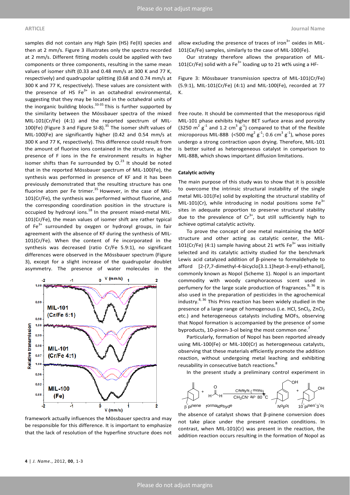samples did not contain any High Spin (HS) Fe(II) species and then at 2 mm/s. Figure 3 illustrates only the spectra recorded at 2 mm/s. Different fitting models could be applied with two components or three components, resulting in the same mean values of isomer shift (0.33 and 0.48 mm/s at 300 K and 77 K, respectively) and quadrupolar splitting (0.68 and 0.74 mm/s at 300 K and 77 K, respectively). These values are consistent with the presence of HS  $Fe<sup>3+</sup>$  in an octahedral environmental, suggesting that they may be located in the octahedral units of the inorganic building blocks.<sup>33-35</sup> This is further supported by the similarity between the Mössbauer spectra of the mixed MIL-101(Cr/Fe) (4:1) and the reported spectrum of MIL-100(Fe) (Figure 3 and Figure SI-8). $35$  The isomer shift values of MIL-100(Fe) are significantly higher (0.42 and 0.54 mm/s at 300 K and 77 K, respectively). This difference could result from the amount of fluorine ions contained in the structure, as the presence of F ions in the Fe environment results in higher isomer shifts than Fe surrounded by  $O<sup>23</sup>$  It should be noted that in the reported Mössbauer spectrum of MIL-100(Fe), the synthesis was performed in presence of KF and it has been previously demonstrated that the resulting structure has one fluorine atom per Fe trimer. $35$  However, in the case of MIL-101(Cr/Fe), the synthesis was performed without fluorine, and the corresponding coordination position in the structure is occupied by hydroxyl ions. $18$  In the present mixed-metal MIL-101(Cr/Fe), the mean values of isomer shift are rather typical of  $Fe<sup>3+</sup>$  surrounded by oxygen or hydroxyl groups, in fair agreement with the absence of KF during the synthesis of MIL-101(Cr/Fe). When the content of Fe incorporated in the synthesis was decreased (ratio Cr/Fe 5.9:1), no significant differences were observed in the Mössbauer spectrum (Figure 3), except for a slight increase of the quadrupolar doublet asymmetry. The presence of water molecules in the



allow excluding the presence of traces of iron $3+$  oxides in MIL-101(Ce/Fe) samples, similarly to the case of MIL-100(Fe).

Our strategy therefore allows the preparation of MIL-101(Cr/Fe) solid with a Fe<sup>3+</sup> loading up to 21 wt% using a HF-

Figure 3: Mössbauer transmission spectra of MIL-101(Cr/Fe) (5.9:1), MIL-101(Cr/Fe) (4:1) and MIL-100(Fe), recorded at 77 K.

free route. It should be commented that the mesoporous rigid MIL-101 phase exhibits higher BET surface areas and porosity (3250  $m^2$   $g^{-1}$  and 1.2 cm<sup>3</sup>  $g^{-1}$ ) compared to that of the flexible microporous MIL-88B (<500 mg<sup>2</sup> g<sup>-1</sup>; 0.6 cm<sup>3</sup> g<sup>-1</sup>), whose pores undergo a strong contraction upon drying. Therefore, MIL-101 is better suited as heterogeneous catalyst in comparison to MIL-88B, which shows important diffusion limitations.

#### **Catalytic activity**

The main purpose of this study was to show that it is possible to overcome the intrinsic structural instability of the single metal MIL-101(Fe) solid by exploiting the structural stability of MIL-101(Cr), while introducing in nodal positions some  $Fe<sup>3+</sup>$ sites in adequate proportion to preserve structural stability due to the prevalence of  $Cr^{3+}$ , but still sufficiently high to achieve optimal catalytic activity.

To prove the concept of one metal maintaining the MOF structure and other acting as catalytic center, the MIL-101(Cr/Fe) (4:1) sample having about 21 wt%  $Fe<sup>3+</sup>$  was initially selected and its catalytic activity studied for the benchmark Lewis acid catalyzed addition of β-pinene to formaldehyde to afford [2-(7,7-dimethyl-4-bicyclo[3.1.1]hept-3-enyl)-ethanol], commonly known as Nopol (Scheme 1). Nopol is an important commodity with woody camphoraceous scent used in perfumery for the large scale production of fragrances.<sup>8, 36</sup> It is also used in the preparation of pesticides in the agrochemical industry. $8,36$  This Prins reaction has been widely studied in the presence of a large range of homogenous (i.e. HCl, SnCl2, ZnCl2 etc.) and heterogeneous catalysts including MOFs, observing that Nopol formation is accompanied by the presence of some byproducts, 10-pinen-3-ol being the most common one. $^7$ 

Particularly, formation of Nopol has been reported already using MIL-100(Fe) or MIL-100(Cr) as heterogeneous catalysts, observing that these materials efficiently promote the addition reaction, without undergoing metal leaching and exhibiting reusability in consecutive batch reactions.<sup>8</sup>

In the present study a preliminary control experiment in



the absence of catalyst shows that β-pinene conversion does not take place under the present reaction conditions. In contrast, when MIL-101(Cr) was present in the reaction, the addition reaction occurs resulting in the formation of Nopol as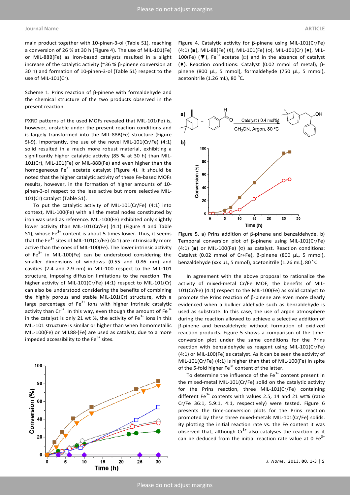main product together with 10-pinen-3-ol (Table S1), reaching a conversion of 26 % at 30 h (Figure 4). The use of MIL-101(Fe) or MIL-88B(Fe) as iron-based catalysts resulted in a slight increase of the catalytic activity (~36 % β-pinene conversion at 30 h) and formation of 10-pinen-3-ol (Table S1) respect to the use of MIL-101(Cr).

Scheme 1. Prins reaction of β-pinene with formaldehyde and the chemical structure of the two products observed in the present reaction.

PXRD patterns of the used MOFs revealed that MIL-101(Fe) is, however, unstable under the present reaction conditions and is largely transformed into the MIL-88B(Fe) structure (Figure SI-9). Importantly, the use of the novel MIL-101(Cr/Fe) (4:1) solid resulted in a much more robust material, exhibiting a significantly higher catalytic activity (85 % at 30 h) than MIL-101(Cr), MIL-101(Fe) or MIL-88B(Fe) and even higher than the homogeneous  $Fe^{3+}$  acetate catalyst (Figure 4). It should be noted that the higher catalytic activity of these Fe-based MOFs results, however, in the formation of higher amounts of 10 pinen-3-ol respect to the less active but more selective MIL-101(Cr) catalyst (Table S1).

To put the catalytic activity of MIL-101(Cr/Fe) (4:1) into context, MIL-100(Fe) with all the metal nodes constituted by iron was used as reference. MIL-100(Fe) exhibited only slightly lower activity than MIL-101(Cr/Fe) (4:1) (Figure 4 and Table S1), whose  $Fe<sup>3+</sup>$  content is about 5 times lower. Thus, it seems that the Fe<sup>3+</sup> sites of MIL-101(Cr/Fe) (4:1) are intrinsically more active than the ones of MIL-100(Fe). The lower intrinsic activity of  $Fe<sup>3+</sup>$  in MIL-100(Fe) can be understood considering the smaller dimensions of windows (0.55 and 0.86 nm) and cavities (2.4 and 2.9 nm) in MIL-100 respect to the MIL-101 structure, imposing diffusion limitations to the reaction. The higher activity of MIL-101(Cr/Fe) (4:1) respect to MIL-101(Cr) can also be understood considering the benefits of combining the highly porous and stable MIL-101(Cr) structure, with a large percentage of  $Fe<sup>3+</sup>$  ions with higher intrinsic catalytic activity than  $Cr^{3+}$ . In this way, even though the amount of Fe<sup>3+</sup> in the catalyst is only 21 wt %, the activity of  $Fe<sup>3+</sup>$  ions in this MIL-101 structure is similar or higher than when homometallic MIL-100(Fe) or MIL88-(Fe) are used as catalyst, due to a more impeded accessibility to the  $Fe<sup>3+</sup>$  sites.



Figure 4. Catalytic activity for β-pinene using MIL-101(Cr/Fe) (4:1) (■), MIL-88(Fe) (◊), MIL-101(Fe) (○), MIL-101(Cr) (●), MIL-100(Fe) ( $\nabla$ ), Fe<sup>3+</sup> acetate ( $\square$ ) and in the absence of catalyst (♦). Reaction conditions: Catalyst (0.02 mmol of metal), βpinene (800 µL, 5 mmol), formaldehyde (750 µL, 5 mmol), acetonitrile (1.26 mL), 80 $\degree$ C.



Figure 5. a) Prins addition of β-pinene and benzaldehyde. b) Temporal conversion plot of β-pinene using MIL-101(Cr/Fe) (4:1) (■) or MIL-100(Fe) (○) as catalyst. Reaction conditions: Catalyst (0.02 mmol of Cr+Fe), β-pinene (800 µL, 5 mmol), benzaldehyde (xxx µL, 5 mmol), acetonitrile (1.26 mL), 80  $^{\circ}$ C.

In agreement with the above proposal to rationalize the activity of mixed-metal Cr/Fe MOF, the benefits of MIL-101(Cr/Fe) (4:1) respect to the MIL-100(Fe) as solid catalyst to promote the Prins reaction of β-pinene are even more clearly evidenced when a bulkier aldehyde such as benzaldehyde is used as substrate. In this case, the use of argon atmosphere during the reaction allowed to achieve a selective addition of β-pinene and benzaldehyde without formation of oxidized reaction products. Figure 5 shows a comparison of the timeconversion plot under the same conditions for the Prins reaction with benzaldehyde as reagent using MIL-101(Cr/Fe) (4:1) or MIL-100(Fe) as catalyst. As it can be seen the activity of MIL-101(Cr/Fe) (4:1) is higher than that of MIL-100(Fe) in spite of the 5-fold higher  $Fe<sup>3+</sup>$  content of the latter.

To determine the influence of the  $Fe<sup>3+</sup>$  content present in the mixed-metal MIL-101(Cr/Fe) solid on the catalytic activity for the Prins reaction, three MIL-101(Cr/Fe) containing different Fe<sup>3+</sup> contents with values 2.5, 14 and 21 wt% (ratio Cr/Fe 36:1, 5.9:1, 4:1, respectively) were tested. Figure 6 presents the time-conversion plots for the Prins reaction promoted by these three mixed-metals MIL-101(Cr/Fe) solids. By plotting the initial reaction rate vs. the Fe content it was observed that, although  $Cr^{3+}$  also catalyses the reaction as it can be deduced from the initial reaction rate value at 0  $Fe<sup>3+</sup>$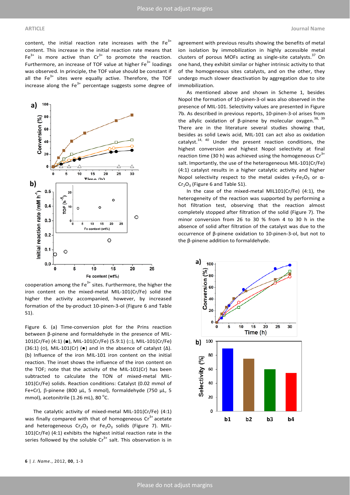content, the initial reaction rate increases with the  $Fe<sup>3+</sup>$ content. This increase in the initial reaction rate means that  $Fe<sup>3+</sup>$  is more active than  $Cr<sup>3+</sup>$  to promote the reaction. Furthermore, an increase of TOF value at higher  $Fe<sup>3+</sup>$  loadings was observed. In principle, the TOF value should be constant if all the  $Fe<sup>3+</sup>$  sites were equally active. Therefore, the TOF increase along the  $Fe<sup>3+</sup>$  percentage suggests some degree of



cooperation among the  $Fe<sup>3+</sup>$  sites. Furthermore, the higher the iron content on the mixed-metal MIL-101(Cr/Fe) solid the higher the activity accompanied, however, by increased formation of the by-product 10-pinen-3-ol (Figure 6 and Table S1).

Figure 6. (a) Time-conversion plot for the Prins reaction between β-pinene and formaldehyde in the presence of MIL-101(Cr/Fe) (4:1) (■), MIL-101(Cr/Fe) (5.9:1) (□), MIL-101(Cr/Fe) (36:1) (o), MIL-101(Cr) ( $\bullet$ ) and in the absence of catalyst ( $\Delta$ ). (b) Influence of the iron MIL-101 iron content on the initial reaction. The inset shows the influence of the iron content on the TOF; note that the activity of the MIL-101(Cr) has been subtracted to calculate the TON of mixed-metal MIL-101(Cr/Fe) solids. Reaction conditions: Catalyst (0.02 mmol of Fe+Cr), β-pinene (800 µL, 5 mmol), formaldehyde (750 µL, 5 mmol), acetonitrile (1.26 mL), 80 $^{\circ}$ C.

The catalytic activity of mixed-metal MIL-101(Cr/Fe) (4:1) was finally compared with that of homogeneous  $Cr<sup>3+</sup>$  acetate and heterogeneous  $Cr_2O_3$  or Fe<sub>2</sub>O<sub>3</sub> solids (Figure 7). MIL-101(Cr/Fe) (4:1) exhibits the highest initial reaction rate in the series followed by the soluble  $Cr^{3+}$  salt. This observation is in

agreement with previous results showing the benefits of metal ion isolation by immobilization in highly accessible metal clusters of porous MOFs acting as single-site catalysts. $37$  On one hand, they exhibit similar or higher intrinsic activity to that of the homogeneous sites catalysts, and on the other, they undergo much slower deactivation by aggregation due to site immobilization.

As mentioned above and shown in Scheme 1, besides Nopol the formation of 10-pinen-3-ol was also observed in the presence of MIL-101. Selectivity values are presented in Figure 7b. As described in previous reports, 10-pinen-3-ol arises from the allylic oxidation of β-pinene by molecular oxygen.<sup>38, 39</sup> There are in the literature several studies showing that, besides as solid Lewis acid, MIL-101 can act also as oxidation catalyst.<sup>14, 40</sup> Under the present reaction conditions, the highest conversion and highest Nopol selectivity at final reaction time (30 h) was achieved using the homogeneous  $Cr<sup>3+</sup>$ salt. Importantly, the use of the heterogeneous MIL-101(Cr/Fe) (4:1) catalyst results in a higher catalytic activity and higher Nopol selectivity respect to the metal oxides  $γ$ -Fe<sub>2</sub>O<sub>3</sub> or α- $Cr_2O_3$  (Figure 6 and Table S1).

In the case of the mixed-metal MIL101(Cr/Fe) (4:1), the heterogeneity of the reaction was supported by performing a hot filtration test, observing that the reaction almost completely stopped after filtration of the solid (Figure 7). The minor conversion from 26 to 30 % from 4 to 30 h in the absence of solid after filtration of the catalyst was due to the occurrence of β-pinene oxidation to 10-pinen-3-ol, but not to the β-pinene addition to formaldehyde.

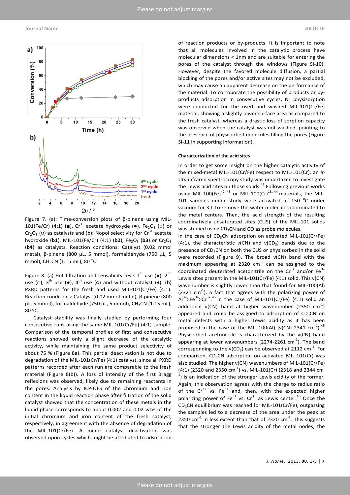

Figure 7. (a): Time-conversion plots of β-pinene using MIL-101(Fe/Cr) (4:1) (■),  $Cr^{3+}$  acetate hydroxyde (•), Fe<sub>2</sub>O<sub>3</sub> (□) or  $Cr_2O_3$  (o) as catalysts and (b): Nopol selectivity for  $Cr^{3+}$  acetate hydroxide (b1), MIL-101(Fe/Cr) (4:1) (b2), Fe<sub>2</sub>O<sub>3</sub> (b3) or Cr<sub>2</sub>O<sub>3</sub> (**b4**) as catalysts. Reaction conditions: Catalyst (0.02 mmol metal), β-pinene (800 µL, 5 mmol), formaldehyde (750 µL, 5 mmol), CH<sub>3</sub>CN (1.15 mL), 80 <sup>o</sup>C.

Figure 8. (a) Hot filtration and reusability tests  $1^{st}$  use ( $\blacksquare$ ),  $2^{nd}$ use ( $\Box$ ), 3<sup>th</sup> use ( $\bullet$ ), 4<sup>th</sup> use ( $\circ$ ) and without catalyst ( $\bullet$ ). (b) PXRD patterns for the fresh and used MIL-101(Cr/Fe) (4:1). Reaction conditions: Catalyst (0.02 mmol metal), β-pinene (800  $\mu$ L, 5 mmol), formaldehyde (750  $\mu$ L, 5 mmol), CH<sub>3</sub>CN (1.15 mL), 80 ºC.

Catalyst stability was finally studied by performing four consecutive runs using the same MIL-101(Cr/Fe) (4:1) sample. Comparison of the temporal profiles of first and consecutive reactions showed only a slight decrease of the catalytic activity, while maintaining the same product selectivity of about 75 % (Figure 8a). This partial deactivation is not due to degradation of the MIL-101(Cr/Fe) (4:1) catalyst, since all PXRD patterns recorded after each run are comparable to the fresh material (Figure 8(b)). A loss of intensity of the first Bragg reflexions was observed, likely due to remaining reactants in the pores. Analysis by ICP-OES of the chromium and iron content in the liquid reaction phase after filtration of the solid catalyst showed that the concentration of these metals in the liquid phase corresponds to about 0.002 and 0.02 wt% of the initial chromium and iron content of the fresh catalyst, respectively, in agreement with the absence of degradation of the MIL-101(Cr/Fe). A minor catalyst deactivation was observed upon cycles which might be attributed to adsorption

of reaction products or by-products. It is important to note that all molecules involved in the catalytic process have molecular dimensions < 1nm and are suitable for entering the pores of the catalyst through the windows (Figure SI-10). However, despite the favored molecule diffusion, a partial blocking of the pores and/or active sites may not be excluded, which may cause an apparent decrease on the performance of the material. To corroborate the possibility of products or byproducts adsorption in consecutive cycles,  $N_2$  physisorption were conducted for the used and washed MIL-101(Cr/Fe) material, showing a slightly lower surface area as compared to the fresh catalyst, whereas a drastic loss of sorption capacity was observed when the catalyst was not washed, pointing to the presence of physisorbed molecules filling the pores (Figure SI-11 in supporting information).

#### **Characterization of the acid sites**

In order to get some insight on the higher catalytic activity of the mixed-metal MIL-101(Cr/Fe) respect to MIL-101(Cr), an *in situ* infrared spectroscopy study was undertaken to investigate the Lewis acid sites on those solids. $41$  Following previous works using MIL-100(Fe)<sup>42, 43</sup> or MIL-100(Cr)<sup>18, 44</sup> materials, the MIL-101 samples under study were activated at 150 $\degree$ C under vacuum for 3 h to remove the water molecules coordinated to the metal centers. Then, the acid strength of the resulting coordinatively unsaturated sites (CUS) of the MIL-101 solids was studied using  $CD_3CN$  and CO as probe molecules.

In the case of  $CD_3CN$  adsorption on activated MIL-101(Cr/Fe) (4:1), the characteristic *v*(CN) and *v*(CD<sub>3</sub>) bands due to the presence of  $CD_3CN$  on both the CUS or physisorbed in the solid were recorded (Figure 9). The broad ν(CN) band with the maximum appearing at 2320  $cm^{-1}$  can be assigned to the coordinated deuterated acetonitrile on the  $Cr^{3+}$  and/or  $Fe^{3+}$ Lewis sites present in the MIL-101(Cr/Fe) (4:1) solid. This ν(CN) wavenumber is slightly lower than that found for MIL-100(Al) (2321 cm $^{-1}$ ), a fact that agrees with the polarizing power of  $Al^{3+} > Fe^{3+} > Cr^{3+}.45$  In the case of MIL-101(Cr/Fe) (4:1) solid an additional  $v(CN)$  band at higher wavenumber (2350 cm<sup>-1</sup>) appeared and could be assigned to adsorption of  $CD<sub>3</sub>CN$  on metal defects with a higher Lewis acidity as it has been proposed in the case of the MIL-100(Al) ( $v(CN)$ ) 2341 cm<sup>-1</sup>).<sup>45</sup> Physisorbed acetonitrile is characterized by the ν(CN) band appearing at lower wavenumbers (2274-2261  $cm<sup>-1</sup>$ ). The band corresponding to the  $v(CD_3)$  can be observed at 2112 cm<sup>-1</sup>. For comparison,  $CD_3CN$  adsorption on activated MIL-101(Cr) was also studied. The higher ν(CN) wavenumbers of MIL-101(Cr/Fe)  $(4:1)$  (2320 and 2350 cm<sup>-1</sup>) vs. MIL-101(Cr) (2318 and 2344 cm<sup>-</sup>  $<sup>1</sup>$ ) is an indication of the stronger Lewis acidity of the former.</sup> Again, this observation agrees with the charge to radius ratio of the  $Cr^{3+}$  vs. Fe<sup>3+</sup> and, then, with the expected higher polarizing power of Fe<sup>3+</sup> vs.  $Cr^{3+}$  as Lewis center.<sup>45</sup> Once the CD3CN equilibrium was reached for MIL-101(Cr/Fe), outgassing the samples led to a decrease of the area under the peak at 2350  $cm^{-1}$  in less extent than that of 2320  $cm^{-1}$ . This suggests that the stronger the Lewis acidity of the metal nodes, the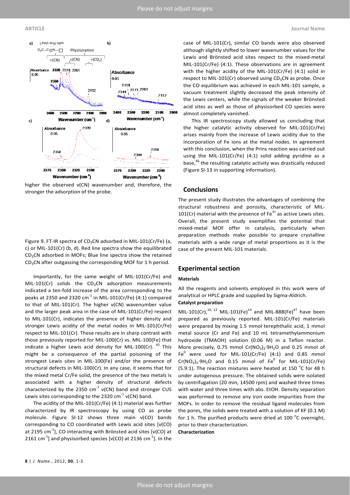

higher the observed ν(CN) wavenumber and, therefore, the stronger the adsorption of the probe.

Figure 9. FT-IR spectra of CD<sub>3</sub>CN adsorbed in MIL-101(Cr/Fe) (a, c) or MIL-101(Cr) (b, d). Red line spectra show the equilibrated  $CD<sub>3</sub>CN$  adsorbed in MOFs; Blue line spectra show the retained  $CD<sub>3</sub>CN$  after outgassing the corresponding MOF for 1 h period.

Importantly, for the same weight of MIL-101(Cr/Fe) and MIL-101(Cr) solids the  $CD_3CN$  adsorption measurements indicated a ten-fold increase of the area corresponding to the peaks at 2350 and 2320  $cm^{-1}$  in MIL-101(Cr/Fe) (4:1) compared to that of MIL-101(Cr). The higher ν(CN) wavenumber value and the larger peak area in the case of MIL-101(Cr/Fe) respect to MIL-101(Cr), indicates the presence of higher density and stronger Lewis acidity of the metal nodes in MIL-101(Cr/Fe) respect to MIL-101(Cr). These results are in sharp contrast with those previously reported for MIL-100(Cr) vs. MIL-100(Fe) that indicate a higher Lewis acid density for MIL-100(Cr).  $45$  This might be a consequence of the partial poisoning of the strongest Lewis sites in MIL-100(Fe) and/or the presence of structural defects in MIL-100(Cr). In any case, it seems that for the mixed metal Cr/Fe solid, the presence of the two metals is associated with a higher density of structural defects characterized by the 2350  $cm^{-1}$  v(CN) band and stronger CUS Lewis sites corresponding to the 2320 cm<sup>-1</sup>  $v(CN)$  band.

The acidity of the MIL-101(Cr/Fe) (4:1) material was further characterized by IR spectroscopy by using CO as probe molecule. Figure SI-12 shows three main ν(CO) bands corresponding to CO coordinated with Lewis acid sites [ν(CO) at 2195 cm $^{-1}$ ], CO interacting with Brönsted acid sites [v(CO) at 2161 cm<sup>-1</sup>] and physisorbed species [v(CO) at 2136 cm<sup>-1</sup>]. In the

case of MIL-101(Cr), similar CO bands were also observed although slightly shifted to lower wavenumber values for the Lewis and Brönsted acid sites respect to the mixed-metal MIL-101(Cr/Fe) (4:1). These observations are in agreement with the higher acidity of the MIL-101(Cr/Fe) (4:1) solid in respect to MIL-101(Cr) observed using  $CD<sub>3</sub>CN$  as probe. Once the CO equilibrium was achieved in each MIL-101 sample, a vacuum treatment slightly decreased the peak intensity of the Lewis centers, while the signals of the weaker Brönsted acid sites as well as those of physisorbed CO species were almost completely vanished.

This IR spectroscopy study allowed us concluding that the higher catalytic activity observed for MIL-101(Cr/Fe) arises mainly from the increase of Lewis acidity due to the incorporation of Fe ions at the metal nodes. In agreement with this conclusion, when the Prins reaction was carried out using the MIL-101(Cr/Fe) (4:1) solid adding pyridine as a base,<sup>46</sup> the resulting catalytic activity was drastically reduced (Figure SI-13 in supporting information).

## **Conclusions**

The present study illustrates the advantages of combining the structural robustness and porosity, characteristic of MIL-101(Cr) material with the presence of  $Fe<sup>3+</sup>$  as active Lewis sites. Overall, the present study exemplifies the potential that mixed-metal MOF offer in catalysis, particularly when preparation methods make possible to prepare crystalline materials with a wide range of metal proportions as it is the case of the present MIL-101 materials.

## **Experimental section**

#### **Materials**

All the reagents and solvents employed in this work were of analytical or HPLC grade and supplied by Sigma-Aldrich.

# **Catalyst preparation**

MIL-101(Cr),<sup>10, 12</sup> MIL-101(Fe)<sup>14</sup> and MIL-88B(Fe)<sup>47</sup> have been prepared as previously reported. MIL-101(Cr/Fe) materials were prepared by mixing 1.5 mmol terephthalic acid, 1 mmol metal source (Cr and Fe) and 10 mL tetramethylammonium hydroxide (TMAOH) solution (0.06 M) in a Teflon reactor. More precisely, 0.75 mmol Cr(NO<sub>3</sub>)<sub>3</sub>⋅9H<sub>2</sub>O and 0.25 mmol of Fe<sup>0</sup> were used for MIL-101(Cr/Fe)  $(4:1)$  and 0.85 mmol  $Cr(NO<sub>3</sub>)<sub>3</sub>·9H<sub>2</sub>O$  and 0.15 mmol of Fe<sup>0</sup> for MIL-101(Cr/Fe) (5.9:1). The reaction mixtures were heated at 150 $\,^{\circ}$ C for 48 h under autogenous pressure. The obtained solids were isolated by centrifugation (20 min, 14500 rpm) and washed three times with water and three times with abs. EtOH. Density separation was performed to remove any iron oxide impurities from the MOFs. In order to remove the residual ligand molecules from the pores, the solids were treated with a solution of KF (0.1 M) for 1 h. The purified products were dried at 100  $^{\circ}$ C overnight, prior to their characterization.

#### **Characterization**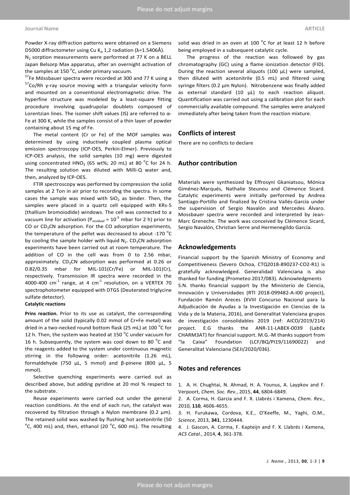Powder X-ray diffraction patterns were obtained on a Siemens D5000 diffractometer using Cu K<sub>α</sub> 1,2 radiation ( $λ=1.5406Å$ ).

 $N_2$  sorption measurements were performed at 77 K on a BELL Japan Belsorp Max apparatus, after an overnight activation of the samples at 150  $^{\circ}$ C, under primary vacuum.

<sup>57</sup>Fe Mössbauer spectra were recorded at 300 and 77 K using a <sup>57</sup>Co/Rh γ-ray source moving with a triangular velocity form and mounted on a conventional electromagnetic drive. The hyperfine structure was modeled by a least-square fitting procedure involving quadrupolar doublets composed of Lorentzian lines. The isomer shift values (IS) are referred to α-Fe at 300 K, while the samples consist of a thin layer of powder containing about 15 mg of Fe.

The metal content (Cr or Fe) of the MOF samples was determined by using inductively coupled plasma optical emission spectroscopy (ICP-OES, Perkin-Elmer). Previously to ICP-OES analysis, the solid samples (10 mg) were digested using concentrated HNO<sub>3</sub> (65 wt%; 20 mL) at 80  $^{\circ}$ C for 24 h. The resulting solution was diluted with Milli-Q water and, then, analyzed by ICP-OES.

FTIR spectroscopy was performed by compression the solid samples at 2 Ton in air prior to recording the spectra. In some cases the sample was mixed with  $SiO<sub>2</sub>$  as binder. Then, the samples were placed in a quartz cell equipped with KRs-5 (thallium bromoiodide) windows. The cell was connected to a vacuum line for activation ( $P_{residual} = 10^{-5}$  mbar for 2 h) prior to CO or  $CD_3CN$  adsorption. For the CO adsorption experiments, the temperature of the pellet was decreased to about -170  $^{\circ}$ C by cooling the sample holder with liquid  $N_2$ . CD<sub>3</sub>CN adsorption experiments have been carried out at room temperature. The addition of CO in the cell was from 0 to 2.56 mbar, approximately.  $CD_3CN$  adsorption was performed at 0.26 or 0.82/0.35 mbar for MIL-101(Cr/Fe) or MIL-101(Cr), respectively. Transmission IR spectra were recorded in the 4000-400  $cm^{-1}$  range, at 4  $cm^{-1}$  resolution, on a VERTEX 70 spectrophotometer equipped with DTGS (Deuterated triglycine sulfate detector).

### **Catalytic reactions**

**Prins reaction.** Prior to its use as catalyst, the corresponding amount of the solid (typically 0.02 mmol of Cr+Fe metal) was dried in a two-necked round bottom flask (25 mL) at 100  $^{\circ}$ C for 12 h. Then, the system was heated at 150  $^{\circ}$ C under vacuum for 16 h. Subsequently, the system was cool down to 80  $^{\circ}$ C and the reagents added to the system under continuous magnetic stirring in the following order: acetonitrile (1.26 mL), formaldehyde (750 µL, 5 mmol) and β-pinene (800 µL, 5 mmol).

Selective quenching experiments were carried out as described above, but adding pyridine at 20 mol % respect to the substrate.

Reuse experiments were carried out under the general reaction conditions. At the end of each run, the catalyst was recovered by filtration through a Nylon membrane (0.2  $\mu$ m). The retained solid was washed by flushing hot acetonitrile (50  $\rm{^{\circ}C}$ , 400 mL) and, then, ethanol (20  $\rm{^{\circ}C}$ , 600 mL). The resulting

solid was dried in an oven at 100  $^{\circ}$ C for at least 12 h before being employed in a subsequent catalytic cycle.

The progress of the reaction was followed by gas chromatography (GC) using a flame ionization detector (FID). During the reaction several aliquots (100  $\mu$ L) were sampled, then diluted with acetonitrile (0.5 mL) and filtered using syringe filters (0.2 µm Nylon). Nitrobenzene was finally added as external standard  $(10 \mu L)$  to each reaction aliquot. Quantification was carried out using a calibration plot for each commercially available compound. The samples were analyzed immediately after being taken from the reaction mixture.

### **Conflicts of interest**

There are no conflicts to declare

## **Author contribution**

Materials were synthesized by Effrosyni Gkaniatsou, Mónica Giménez-Marqués, Nathalie Steunou and Clémence Sicard. Catalytic experiments were initially performed by Andrea Santiago-Portillo and finalized by Cristina Vallés-García under the supervision of Sergio Navalón and Mercedes Álvaro. Mossbauer spectra were recorded and interpreted by Jean-Marc Greneche. The work was conceived by Clémence Sicard, Sergio Navalón, Christian Serre and Hermenegildo García.

### **Acknowledgements**

Financial support by the Spanish Ministry of Economy and Competitiveness (Severo Ochoa, CTQ2018-890237-CO2-R1) is gratefully acknowledged. Generalidad Valenciana is also thanked for funding (Prometeo 2017/083). Acknowledgments S.N. thanks financial support by the Ministerio de Ciencia, Innovación y Universidades (RTI 2018-099482-A-I00 project), Fundación Ramón Areces (XVIII Concurso Nacional para la Adjudicación de Ayudas a la Investigación en Ciencias de la Vida y de la Materia, 2016), and Generalitat Valenciana grupos de investigación consolidables 2019 (ref: AICO/2019/214) project. E.G thanks the ANR-11-LABEX-0039 (LabEx CHARM3AT) for financial support. M.G.-M thanks support from "la Caixa" Foundation (LCF/BQ/PI19/11690022) and Generalitat Valenciana (SEJI/2020/036).

### **Notes and references**

1. A. H. Chughtai, N. Ahmad, H. A. Younus, A. Laypkov and F. Verpoort, *Chem. Soc. Rev.*, 2015, **44**, 6804-6849.

2. A. Corma, H. Garcia and F. X. Llabrés i Xamena, *Chem. Rev.*, 2010, **110**, 4606-4655.

3. H. Furukawa, Cordova, K.E., O'Keeffe, M., Yaghi, O.M., *Science*, 2013, **341**, 1230444.

4. J. Gascon, A. Corma, F. Kapteijn and F. X. Llabrés i Xamena, *ACS Catal.*, 2014, **4**, 361-378.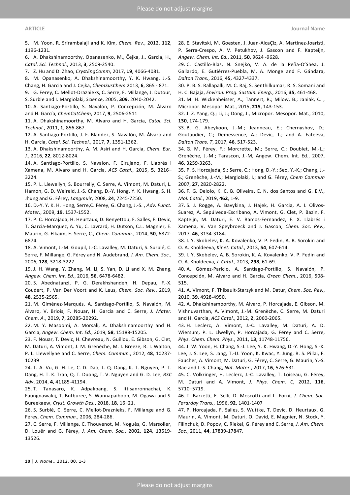5. M. Yoon, R. Srirambalaji and K. Kim, *Chem. Rev.*, 2012, **112**, 1196-1231.

6. A. Dhakshinamoorthy, Opanasenko, M., Čejka, J., Garcia, H., *Catal. Sci. Technol.*, 2013, **3**, 2509-2540.

7. Z. Hu and D. Zhao, *CrystEngComm*, 2017, **19**, 4066-4081.

8. M. Opanasenko, A. Dhakshinamoorthy, Y. K. Hwang, J.-S. Chang, H. Garcia and J. Cejka, *ChemSusChem* 2013, **6**, 865 - 871.

9. G. Ferey, C. Mellot-Draznieks, C. Serre, F. Millange, J. Dutour, S. Surble and I. Margiolaki, *Science*, 2005, **309**, 2040-2042.

10. A. Santiago-Portillo, S. Navalón, P. Concepción, M. Álvaro and H. García, *ChemCatChem*, 2017, **9**, 2506-2511

11. A. Dhakshinamoorthy, M. Alvaro and H. Garcia, *Catal. Sci. Technol.*, 2011, **1**, 856-867.

12. A. Santiago-Portillo, J. F. Blandez, S. Navalón, M. Álvaro and H. García, *Catal. Sci. Technol.*, 2017, **7**, 1351-1362.

13. A. Dhakshinamoorthy, A. M. Asiri and H. Garcia, *Chem. Eur. J.*, 2016, **22**, 8012-8024.

14. A. Santiago-Portillo, S. Navalon, F. Cirujano, F. Llabrés i Xamena, M. Alvaro and H. Garcia, *ACS Catal.*, 2015, **5**, 3216– 3224.

15. P. L. Llewellyn, S. Bourrelly, C. Serre, A. Vimont, M. Daturi, L. Hamon, G. D. Weireld, J.-S. Chang, D.-Y. Hong, Y. K. Hwang, S. H. Jhung and G. Férey, *Langmuir*, 2008, **24**, 7245-7250.

16. D.-Y. Y. K. H. Hong, Serre,C. Férey, G. Chang, J.-S. , *Adv. Funct. Mater.*, 2009, **19**, 1537-1552.

17. P. C. Horcajada, H. Heurtaux, D. Benyettou, F. Salles, F. Devic, T. Garcia-Marquez, A. Yu, C. Lavrard, H. Dutson, C.L. Magnier, E. Maurin, G. Elkaïm, E. Serre, C., *Chem. Commun.*, 2014, **50**, 6872- 6874.

18. A. Vimont, J.-M. Goupil, J.-C. Lavalley, M. Daturi, S. Surblé, C. Serre, F. Millange, G. Férey and N. Audebrand, *J. Am. Chem. Soc.*, 2006, **128**, 3218-3227.

19. J. H. Wang, Y. Zhang, M. Li, S. Yan, D. Li and X. M. Zhang, *Angew. Chem. Int. Ed.*, 2016, **56**, 6478-6482.

20. S. Abednatanzi, P. G. Derakhshandeh, H. Depau, F.-X. Coudert, P. Van Der Voort and K. Leus, *Chem. Soc. Rev.*, 2019, **48**, 2535-2565.

21. M. Giménez-Marqués, A. Santiago-Portillo, S. Navalón, M. Álvaro, V. Briois, F. Nouar, H. Garcia and C. Serre, *J. Mater. Chem. A.*, 2019, **7**, 20285-20292.

22. M. Y. Masoomi, A. Morsali, A. Dhakshinamoorthy and H. Garcia, *Angew. Chem. Int. Ed.*, 2019, **58**, 15188-15205.

23. F. Nouar, T. Devic, H. Chevreau, N. Guillou, E. Gibson, G. Clet, M. Daturi, A. Vimont, J. M. Grenèche, M. I. Breeze, R. I. Walton, P. L. Llewellyne and C. Serre, *Chem. Commun.*, 2012, **48**, 10237- 10239

24. T. A. Vu, G. H. Le, C. D. Dao, L. Q. Dang, K. T. Nguyen, P. T. Dang, H. T. K. Tran, Q. T. Duong, T. V. Nguyen and G. D. Lee, *RSC Adv*, 2014, **4**, 41185-41194.

25. T. Tanasaro, K. Adpakpang, S. Ittisanronnachai, K. Faungnawakij, T. Butburee, S. Wannapaiboon, M. Ogawa and S. Bureekaew, *Cryst. Growth Des.*, 2018, **18**, 16−21.

26. S. Surblé, C. Serre, C. Mellot-Draznieks, F. Millange and G. Férey, *Chem. Commun.*, 2006, 284-286.

27. C. Serre, F. Millange, C. Thouvenot, M. Noguès, G. Marsolier, D. Louër and G. Férey, *J. Am. Chem. Soc.*, 2002, **124**, 13519- 13526.

28. E. Stavitski, M. Goesten, J. Juan-AlcaÇiz, A. Martinez-Joaristi, P. Serra-Crespo, A. V. Petukhov, J. Gascon and F. Kapteijn, *Angew. Chem. Int. Ed.*, 2011, **50**, 9624 -9628.

29. C. Castillo-Blas, N. Snejko, V. A. de la Peña-O'Shea, J. Gallardo, E. Gutiérrez-Puebla, M. A. Monge and F. Gándara, *Dalton Trans.*, 2016, **45**, 4327-4337.

30. P. B. S. Rallapalli, M. C. Raj, S. Senthilkumar, R. S. Somani and H. C. Bajaja, *Environ. Prog. Sustain. Energ.*, 2016, **35**, 461-468.

31. M. H. Wickenheisser, A.; Tannert, R.; Milow, B.; Janiak, C. , Micropor. Mesopor. Mat., 2015, **215**, 143-153.

32. J. Z. Yang, Q.; Li, J.; Dong, J., Micropor. Mesopor. Mat., 2010, **130**, 174-179.

33. B. G. Abeykoon, J.-M.; Jeanneau, E.; Chernyshov, D.; Goutaudier, C.; Demessence, A.; Devic, T.; and A. Fateeva, *Dalton Trans. T*, 2017, **46**, 517-523.

34. G. M. Férey, F.; Morcrette, M.; Serre, C.; Doublet, M.-L.; Grenèche, J.-M.; Tarascon, J.-M, Angew. Chem. Int. Ed., 2007, **46**, 3259-3263.

35. P. S. Horcajada, S.; Serre, C.; Hong, D.-Y.; Seo, Y.-K.; Chang, J.- S.; Grenèche, J.-M.; Margiolaki, I.; and G. Férey, *Chem Commun*  2007, **27**, 2820-2822.

36. F. G. Delolo, K. C. B. Oliveira, E. N. dos Santos and G. E.V., *Mol. Catal.*, 2019, **462**, 1-9.

37. S. J. Rogge, A. Bavykina, J. Hajek, H. Garcia, A. I. Olivos-Suarez, A. Sepúlveda-Escribano, A. Vimont, G. Clet, P. Bazin, F. Kapteijn, M. Daturi, E. V. Ramos-Fernandez, F. X. Llabrés i Xamena, V. Van Speybroeck and J. Gascon, *Chem. Soc. Rev.*, 2017, **46**, 3134-3184.

38. I. Y. Skobelev, K. A. Kovalenko, V. P. Fedin, A. B. Sorokin and O. A. Kholdeeva, *Kinet. Catal.*, 2013, **54**, 607-614.

39. I. Y. Skobelev, A. B. Sorokin, K. A. Kovalenko, V. P. Fedin and O. A. Kholdeeva, *J. Catal.*, 2013, **298**, 61-69.

40. A. Gómez-Paricio, A. Santiago-Portillo, S. Navalón, P. Concepción, M. Alvaro and H. Garcia, *Green Chem.*, 2016, 508- 515.

41. A. Vimont, F. Thibault-Starzyk and M. Datur, *Chem. Soc. Rev.*, 2010, **39**, 4928-4950.

42. A. Dhakshinamoorthy, M. Alvaro, P. Horcajada, E. Gibson, M. Vishnuvarthan, A. Vimont, J.-M. Grenèche, C. Serre, M. Daturi and H. Garcia, *ACS Catal.*, 2012, **2**, 2060-2065.

43. H. Leclerc, A. Vimont, J.-C. Lavalley, M. Daturi, A. D. Wiersum, P. L. Llwellyn, P. Horcajada, G. Férey and C. Serre, *Phys. Chem. Chem. Phys.*, 2011, **13**, 11748-11756.

44. J. W. Yoon, H. Chang, S.-J. Lee, Y. K. Hwang, D.-Y. Hong, S.-K. Lee, J. S. Lee, S. Jang, T.-U. Yoon, K. Kwac, Y. Jung, R. S. Pillai, F. Faucher, A. Vimont, M. Daturi, G. Férey, C. Serre, G. Maurin, Y.-S. Bae and J.-S. Chang, *Nat. Mater.*, 2017, **16**, 526-531.

45. C. Volkringer, H. Leclerc, J.-C. Lavalley, T. Loiseau, G. Férey, M. Daturi and A. Vimont, *J. Phys. Chem. C*, 2012, **116**, 5710−5719.

46. T. Barzetti, E. Selli, D. Moscotti and L. Forni, *J. Chem. Soc. Fararday Trans.*, 1996, **92**, 1401-1407

47. P. Horcajada, F. Salles, S. Wuttke, T. Devic, D. Heurtaux, G. Maurin, A. Vimont, M. Daturi, O. David, E. Magnier, N. Stock, Y. Filinchuk, D. Popov, C. Riekel, G. Férey and C. Serre, *J. Am. Chem. Soc.*, 2011, **44**, 17839-17847.